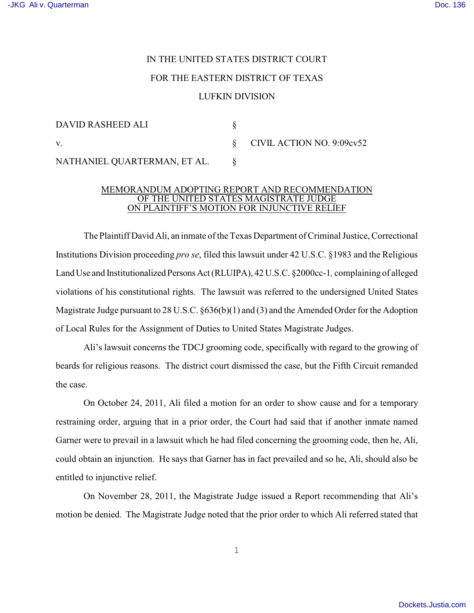## IN THE UNITED STATES DISTRICT COURT FOR THE EASTERN DISTRICT OF TEXAS LUFKIN DIVISION

| DAVID RASHEED ALI            |                                          |
|------------------------------|------------------------------------------|
| V.                           | $\S$ CIVIL ACTION NO. 9:09 $\text{cv}52$ |
| NATHANIEL QUARTERMAN, ET AL. |                                          |

## MEMORANDUM ADOPTING REPORT AND RECOMMENDATION OF THE UNITED STATES MAGISTRATE JUDGE ON PLAINTIFF'S MOTION FOR INJUNCTIVE RELIEF

The Plaintiff David Ali, an inmate of the Texas Department of Criminal Justice, Correctional Institutions Division proceeding *pro se*, filed this lawsuit under 42 U.S.C. §1983 and the Religious Land Use and Institutionalized Persons Act (RLUIPA), 42 U.S.C. §2000cc-1*,* complaining of alleged violations of his constitutional rights. The lawsuit was referred to the undersigned United States Magistrate Judge pursuant to 28 U.S.C. §636(b)(1) and (3) and the Amended Order for the Adoption of Local Rules for the Assignment of Duties to United States Magistrate Judges.

Ali's lawsuit concerns the TDCJ grooming code, specifically with regard to the growing of beards for religious reasons. The district court dismissed the case, but the Fifth Circuit remanded the case.

On October 24, 2011, Ali filed a motion for an order to show cause and for a temporary restraining order, arguing that in a prior order, the Court had said that if another inmate named Garner were to prevail in a lawsuit which he had filed concerning the grooming code, then he, Ali, could obtain an injunction. He says that Garner has in fact prevailed and so he, Ali, should also be entitled to injunctive relief.

On November 28, 2011, the Magistrate Judge issued a Report recommending that Ali's motion be denied. The Magistrate Judge noted that the prior order to which Ali referred stated that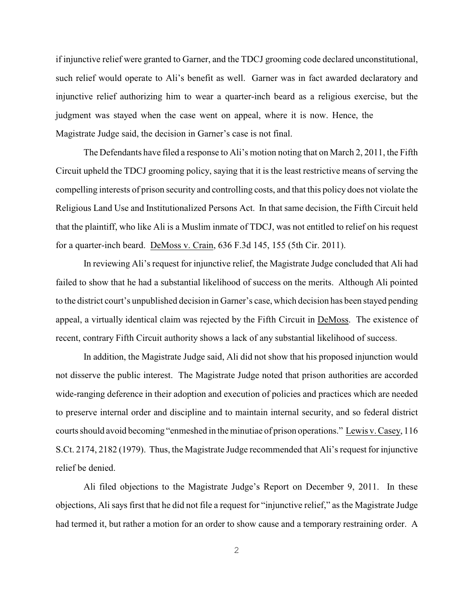if injunctive relief were granted to Garner, and the TDCJ grooming code declared unconstitutional, such relief would operate to Ali's benefit as well. Garner was in fact awarded declaratory and injunctive relief authorizing him to wear a quarter-inch beard as a religious exercise, but the judgment was stayed when the case went on appeal, where it is now. Hence, the Magistrate Judge said, the decision in Garner's case is not final.

The Defendants have filed a response to Ali's motion noting that on March 2, 2011, the Fifth Circuit upheld the TDCJ grooming policy, saying that it is the least restrictive means of serving the compelling interests of prison security and controlling costs, and that this policy does not violate the Religious Land Use and Institutionalized Persons Act. In that same decision, the Fifth Circuit held that the plaintiff, who like Ali is a Muslim inmate of TDCJ, was not entitled to relief on his request for a quarter-inch beard. DeMoss v. Crain, 636 F.3d 145, 155 (5th Cir. 2011).

In reviewing Ali's request for injunctive relief, the Magistrate Judge concluded that Ali had failed to show that he had a substantial likelihood of success on the merits. Although Ali pointed to the district court's unpublished decision in Garner's case, which decision has been stayed pending appeal, a virtually identical claim was rejected by the Fifth Circuit in DeMoss. The existence of recent, contrary Fifth Circuit authority shows a lack of any substantial likelihood of success.

In addition, the Magistrate Judge said, Ali did not show that his proposed injunction would not disserve the public interest. The Magistrate Judge noted that prison authorities are accorded wide-ranging deference in their adoption and execution of policies and practices which are needed to preserve internal order and discipline and to maintain internal security, and so federal district courts should avoid becoming "enmeshed in the minutiae of prison operations." Lewis v. Casey, 116 S.Ct. 2174, 2182 (1979). Thus, the Magistrate Judge recommended that Ali's request for injunctive relief be denied.

Ali filed objections to the Magistrate Judge's Report on December 9, 2011. In these objections, Ali says first that he did not file a request for "injunctive relief," as the Magistrate Judge had termed it, but rather a motion for an order to show cause and a temporary restraining order. A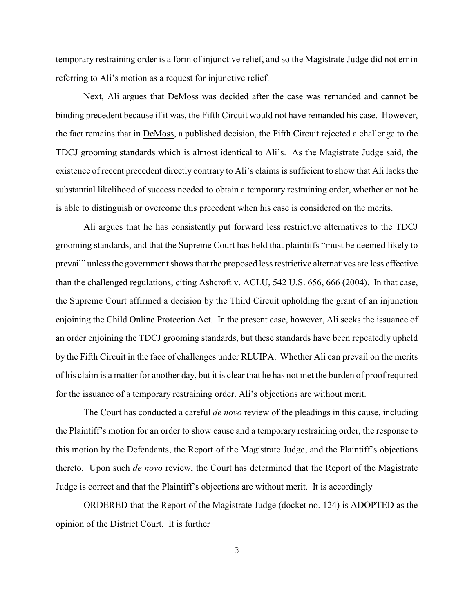temporary restraining order is a form of injunctive relief, and so the Magistrate Judge did not err in referring to Ali's motion as a request for injunctive relief.

Next, Ali argues that DeMoss was decided after the case was remanded and cannot be binding precedent because if it was, the Fifth Circuit would not have remanded his case. However, the fact remains that in DeMoss, a published decision, the Fifth Circuit rejected a challenge to the TDCJ grooming standards which is almost identical to Ali's. As the Magistrate Judge said, the existence of recent precedent directly contrary to Ali's claims is sufficient to show that Ali lacks the substantial likelihood of success needed to obtain a temporary restraining order, whether or not he is able to distinguish or overcome this precedent when his case is considered on the merits.

Ali argues that he has consistently put forward less restrictive alternatives to the TDCJ grooming standards, and that the Supreme Court has held that plaintiffs "must be deemed likely to prevail" unless the government shows that the proposed less restrictive alternatives are less effective than the challenged regulations, citing Ashcroft v. ACLU, 542 U.S. 656, 666 (2004). In that case, the Supreme Court affirmed a decision by the Third Circuit upholding the grant of an injunction enjoining the Child Online Protection Act. In the present case, however, Ali seeks the issuance of an order enjoining the TDCJ grooming standards, but these standards have been repeatedly upheld by the Fifth Circuit in the face of challenges under RLUIPA. Whether Ali can prevail on the merits of his claim is a matter for another day, but it is clear that he has not met the burden of proof required for the issuance of a temporary restraining order. Ali's objections are without merit.

The Court has conducted a careful *de novo* review of the pleadings in this cause, including the Plaintiff's motion for an order to show cause and a temporary restraining order, the response to this motion by the Defendants, the Report of the Magistrate Judge, and the Plaintiff's objections thereto. Upon such *de novo* review, the Court has determined that the Report of the Magistrate Judge is correct and that the Plaintiff's objections are without merit. It is accordingly

ORDERED that the Report of the Magistrate Judge (docket no. 124) is ADOPTED as the opinion of the District Court. It is further